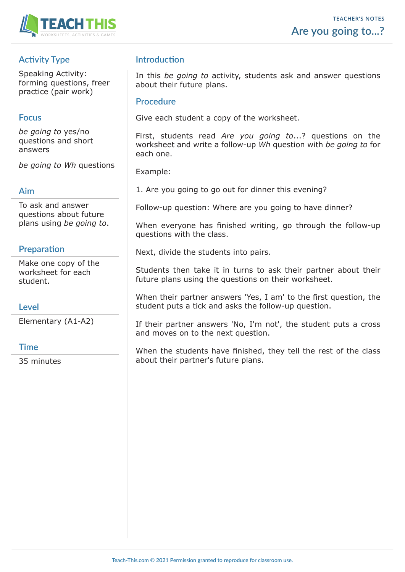

# **Activity Type**

Speaking Activity: forming questions, freer practice (pair work)

### **Focus**

*be going to* yes/no questions and short answers

*be going to Wh* questions

#### **Aim**

To ask and answer questions about future plans using *be going to*.

# **Preparation**

Make one copy of the worksheet for each student.

### **Level**

Elementary (A1-A2)

### **Time**

35 minutes

## **Introduction**

In this *be going to* activity, students ask and answer questions about their future plans.

#### **Procedure**

Give each student a copy of the worksheet.

First, students read *Are you going to*...? questions on the worksheet and write a follow-up *Wh* question with *be going to* for each one.

Example:

1. Are you going to go out for dinner this evening?

Follow-up question: Where are you going to have dinner?

When everyone has finished writing, go through the follow-up questions with the class.

Next, divide the students into pairs.

Students then take it in turns to ask their partner about their future plans using the questions on their worksheet.

When their partner answers 'Yes, I am' to the first question, the student puts a tick and asks the follow-up question.

If their partner answers 'No, I'm not', the student puts a cross and moves on to the next question.

When the students have finished, they tell the rest of the class about their partner's future plans.